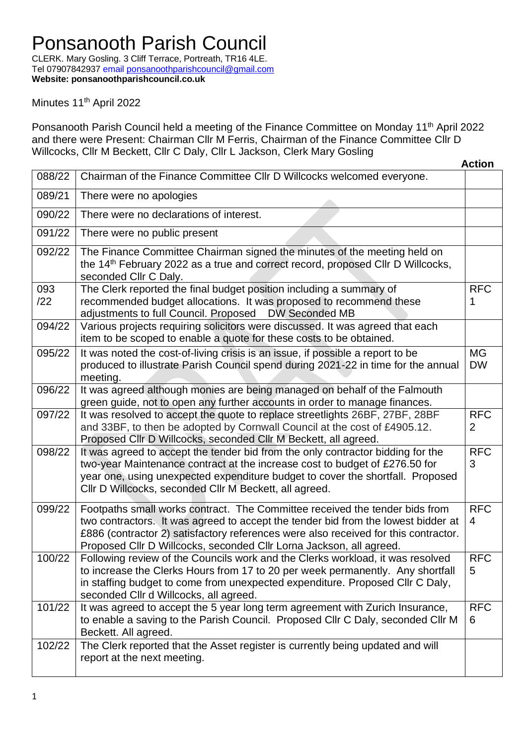CLERK. Mary Gosling. 3 Cliff Terrace, Portreath, TR16 4LE. Tel 07907842937 email [ponsanoothparishcouncil@gmail.com](mailto:ponsanoothparishcouncil@gmail.com) **Website: ponsanoothparishcouncil.co.uk**

Minutes 11<sup>th</sup> April 2022

Ponsanooth Parish Council held a meeting of the Finance Committee on Monday 11<sup>th</sup> April 2022 and there were Present: Chairman Cllr M Ferris, Chairman of the Finance Committee Cllr D Willcocks, Cllr M Beckett, Cllr C Daly, Cllr L Jackson, Clerk Mary Gosling

|            |                                                                                                                                                                                                                                                                                                                                | <b>Action</b>                |
|------------|--------------------------------------------------------------------------------------------------------------------------------------------------------------------------------------------------------------------------------------------------------------------------------------------------------------------------------|------------------------------|
| 088/22     | Chairman of the Finance Committee Cllr D Willcocks welcomed everyone.                                                                                                                                                                                                                                                          |                              |
| 089/21     | There were no apologies                                                                                                                                                                                                                                                                                                        |                              |
| 090/22     | There were no declarations of interest.                                                                                                                                                                                                                                                                                        |                              |
| 091/22     | There were no public present                                                                                                                                                                                                                                                                                                   |                              |
| 092/22     | The Finance Committee Chairman signed the minutes of the meeting held on<br>the 14 <sup>th</sup> February 2022 as a true and correct record, proposed CIIr D Willcocks,<br>seconded Cllr C Daly.                                                                                                                               |                              |
| 093<br>/22 | The Clerk reported the final budget position including a summary of<br>recommended budget allocations. It was proposed to recommend these<br>adjustments to full Council. Proposed  DW Seconded MB                                                                                                                             | <b>RFC</b><br>1              |
| 094/22     | Various projects requiring solicitors were discussed. It was agreed that each<br>item to be scoped to enable a quote for these costs to be obtained.                                                                                                                                                                           |                              |
| 095/22     | It was noted the cost-of-living crisis is an issue, if possible a report to be<br>produced to illustrate Parish Council spend during 2021-22 in time for the annual<br>meeting.                                                                                                                                                | <b>MG</b><br><b>DW</b>       |
| 096/22     | It was agreed although monies are being managed on behalf of the Falmouth<br>green guide, not to open any further accounts in order to manage finances.                                                                                                                                                                        |                              |
| 097/22     | It was resolved to accept the quote to replace streetlights 26BF, 27BF, 28BF<br>and 33BF, to then be adopted by Cornwall Council at the cost of £4905.12.<br>Proposed Cllr D Willcocks, seconded Cllr M Beckett, all agreed.                                                                                                   | <b>RFC</b><br>$\overline{2}$ |
| 098/22     | It was agreed to accept the tender bid from the only contractor bidding for the<br>two-year Maintenance contract at the increase cost to budget of £276.50 for<br>year one, using unexpected expenditure budget to cover the shortfall. Proposed<br>Cllr D Willcocks, seconded Cllr M Beckett, all agreed.                     | <b>RFC</b><br>3              |
| 099/22     | Footpaths small works contract. The Committee received the tender bids from<br>two contractors. It was agreed to accept the tender bid from the lowest bidder at<br>£886 (contractor 2) satisfactory references were also received for this contractor.<br>Proposed Cllr D Willcocks, seconded Cllr Lorna Jackson, all agreed. | <b>RFC</b><br>4              |
| 100/22     | Following review of the Councils work and the Clerks workload, it was resolved<br>to increase the Clerks Hours from 17 to 20 per week permanently. Any shortfall<br>in staffing budget to come from unexpected expenditure. Proposed Cllr C Daly,<br>seconded Cllr d Willcocks, all agreed.                                    | RFC<br>5                     |
| 101/22     | It was agreed to accept the 5 year long term agreement with Zurich Insurance,<br>to enable a saving to the Parish Council. Proposed Cllr C Daly, seconded Cllr M<br>Beckett. All agreed.                                                                                                                                       | <b>RFC</b><br>6              |
| 102/22     | The Clerk reported that the Asset register is currently being updated and will<br>report at the next meeting.                                                                                                                                                                                                                  |                              |